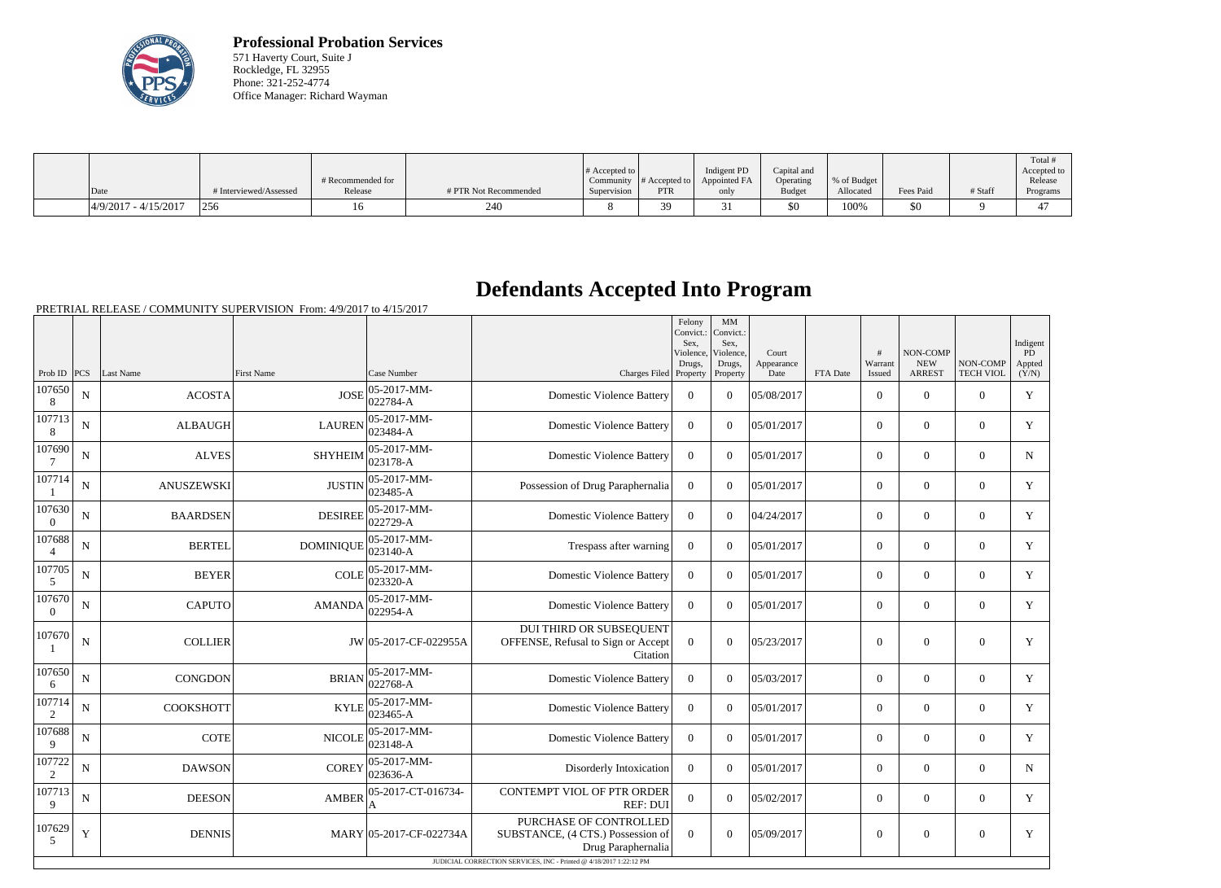

**Professional Probation Services** 571 Haverty Court, Suite J Rockledge, FL 32955 Phone: 321-252-4774 Office Manager: Richard Wayman

|      |                        |                        | # Recommended for |                       | # Accepted to $\vert$ |            | Indigent PD<br>Community $\ #$ Accepted to $\ $ Appointed FA | Capital and<br>Operating | % of Budget |           |         | Total<br>Accepted to<br>Release |
|------|------------------------|------------------------|-------------------|-----------------------|-----------------------|------------|--------------------------------------------------------------|--------------------------|-------------|-----------|---------|---------------------------------|
| Date |                        | # Interviewed/Assessed | Release           | # PTR Not Recommended | Supervision           | <b>PTR</b> | only                                                         | <b>Budget</b>            | Allocated   | Fees Paid | # Staff | Programs                        |
|      | $4/9/2017 - 4/15/2017$ | 256                    |                   | 240                   |                       |            |                                                              | \$0                      | 100%        | \$0       |         | ∸                               |

## **Defendants Accepted Into Program**

PRETRIAL RELEASE / COMMUNITY SUPERVISION From: 4/9/2017 to 4/15/2017

|                          |             |                 |                   |                         |                                                                                                                                                         | Felony<br>Convict.:<br>Sex.<br>Violence. | MM<br>Convict.:<br>Sex,<br>Violence, | Court              |          | #<br>Warrant     | NON-COMP<br><b>NEW</b> | NON-COMP         | Indigent<br><b>PD</b> |
|--------------------------|-------------|-----------------|-------------------|-------------------------|---------------------------------------------------------------------------------------------------------------------------------------------------------|------------------------------------------|--------------------------------------|--------------------|----------|------------------|------------------------|------------------|-----------------------|
| Prob ID $ PCS $          |             | Last Name       | <b>First Name</b> | Case Number             | Charges Filed Property                                                                                                                                  | Drugs,                                   | Drugs,<br>Property                   | Appearance<br>Date | FTA Date | Issued           | <b>ARREST</b>          | <b>TECH VIOL</b> | Appted<br>(Y/N)       |
| 107650<br>8              | N           | <b>ACOSTA</b>   | <b>JOSE</b>       | 05-2017-MM-<br>022784-A | <b>Domestic Violence Battery</b>                                                                                                                        | $\overline{0}$                           | $\overline{0}$                       | 05/08/2017         |          | $\overline{0}$   | $\boldsymbol{0}$       | $\overline{0}$   | $\mathbf Y$           |
| 107713<br>8              | $\mathbf N$ | <b>ALBAUGH</b>  | <b>LAUREN</b>     | 05-2017-MM-<br>023484-A | <b>Domestic Violence Battery</b>                                                                                                                        | $\overline{0}$                           | $\theta$                             | 05/01/2017         |          | $\overline{0}$   | $\mathbf{0}$           | $\mathbf{0}$     | Y                     |
| 107690                   | N           | <b>ALVES</b>    | <b>SHYHEIM</b>    | 05-2017-MM-<br>023178-A | <b>Domestic Violence Battery</b>                                                                                                                        | $\overline{0}$                           | $\theta$                             | 05/01/2017         |          | $\overline{0}$   | $\mathbf{0}$           | $\mathbf{0}$     | $\mathbf N$           |
| 107714                   | N           | ANUSZEWSKI      | <b>JUSTIN</b>     | 05-2017-MM-<br>023485-A | Possession of Drug Paraphernalia                                                                                                                        | $\overline{0}$                           | $\theta$                             | 05/01/2017         |          | $\overline{0}$   | $\theta$               | $\boldsymbol{0}$ | $\mathbf Y$           |
| 107630<br>$\overline{0}$ | N           | <b>BAARDSEN</b> | <b>DESIREE</b>    | 05-2017-MM-<br>022729-A | <b>Domestic Violence Battery</b>                                                                                                                        | $\overline{0}$                           | $\theta$                             | 04/24/2017         |          | $\overline{0}$   | $\mathbf{0}$           | $\mathbf{0}$     | Y                     |
| 107688<br>$\overline{4}$ | N           | <b>BERTEL</b>   | <b>DOMINIQUE</b>  | 05-2017-MM-<br>023140-A | Trespass after warning                                                                                                                                  | $\overline{0}$                           | $\overline{0}$                       | 05/01/2017         |          | $\overline{0}$   | $\mathbf{0}$           | $\overline{0}$   | Y                     |
| 107705<br>5              | $\mathbf N$ | <b>BEYER</b>    | <b>COLE</b>       | 05-2017-MM-<br>023320-A | <b>Domestic Violence Battery</b>                                                                                                                        | $\overline{0}$                           | $\theta$                             | 05/01/2017         |          | $\overline{0}$   | $\mathbf{0}$           | $\overline{0}$   | $\mathbf{Y}$          |
| 107670<br>$\overline{0}$ | $\mathbf N$ | <b>CAPUTO</b>   | <b>AMANDA</b>     | 05-2017-MM-<br>022954-A | <b>Domestic Violence Battery</b>                                                                                                                        | $\overline{0}$                           | $\theta$                             | 05/01/2017         |          | $\overline{0}$   | $\mathbf{0}$           | $\overline{0}$   | $\mathbf{Y}$          |
| 107670                   | $\mathbf N$ | <b>COLLIER</b>  |                   | JW 05-2017-CF-022955A   | DUI THIRD OR SUBSEQUENT<br>OFFENSE, Refusal to Sign or Accept<br>Citation                                                                               | $\Omega$                                 | $\Omega$                             | 05/23/2017         |          | $\boldsymbol{0}$ | $\mathbf{0}$           | $\overline{0}$   | Y                     |
| 107650<br>6              | $\mathbf N$ | <b>CONGDON</b>  | <b>BRIAN</b>      | 05-2017-MM-<br>022768-A | <b>Domestic Violence Battery</b>                                                                                                                        | $\overline{0}$                           | $\theta$                             | 05/03/2017         |          | $\overline{0}$   | $\mathbf{0}$           | $\mathbf{0}$     | $\mathbf Y$           |
| 107714<br>$\sqrt{2}$     | N           | COOKSHOTT       | <b>KYLE</b>       | 05-2017-MM-<br>023465-A | <b>Domestic Violence Battery</b>                                                                                                                        | $\overline{0}$                           | $\theta$                             | 05/01/2017         |          | $\theta$         | $\theta$               | $\theta$         | $\mathbf Y$           |
| 107688<br>9              | N           | <b>COTE</b>     | <b>NICOLE</b>     | 05-2017-MM-<br>023148-A | <b>Domestic Violence Battery</b>                                                                                                                        | $\overline{0}$                           | $\theta$                             | 05/01/2017         |          | $\theta$         | $\theta$               | $\overline{0}$   | Y                     |
| 107722<br>$\overline{2}$ | N           | <b>DAWSON</b>   | <b>COREY</b>      | 05-2017-MM-<br>023636-A | Disorderly Intoxication                                                                                                                                 | $\overline{0}$                           | $\Omega$                             | 05/01/2017         |          | $\overline{0}$   | $\mathbf{0}$           | $\overline{0}$   | N                     |
| 107713<br>9              | N           | <b>DEESON</b>   | <b>AMBER</b>      | 05-2017-CT-016734-<br>A | <b>CONTEMPT VIOL OF PTR ORDER</b><br><b>REF: DUI</b>                                                                                                    | $\overline{0}$                           | $\theta$                             | 05/02/2017         |          | $\overline{0}$   | $\mathbf{0}$           | $\mathbf{0}$     | Y                     |
| 107629<br>5              | Y           | <b>DENNIS</b>   |                   | MARY 05-2017-CF-022734A | PURCHASE OF CONTROLLED<br>SUBSTANCE, (4 CTS.) Possession of<br>Drug Paraphernalia<br>JUDICIAL CORRECTION SERVICES, INC - Printed @ 4/18/2017 1:22:12 PM | $\overline{0}$                           | $\boldsymbol{0}$                     | 05/09/2017         |          | $\boldsymbol{0}$ | $\mathbf{0}$           | $\mathbf{0}$     | Y                     |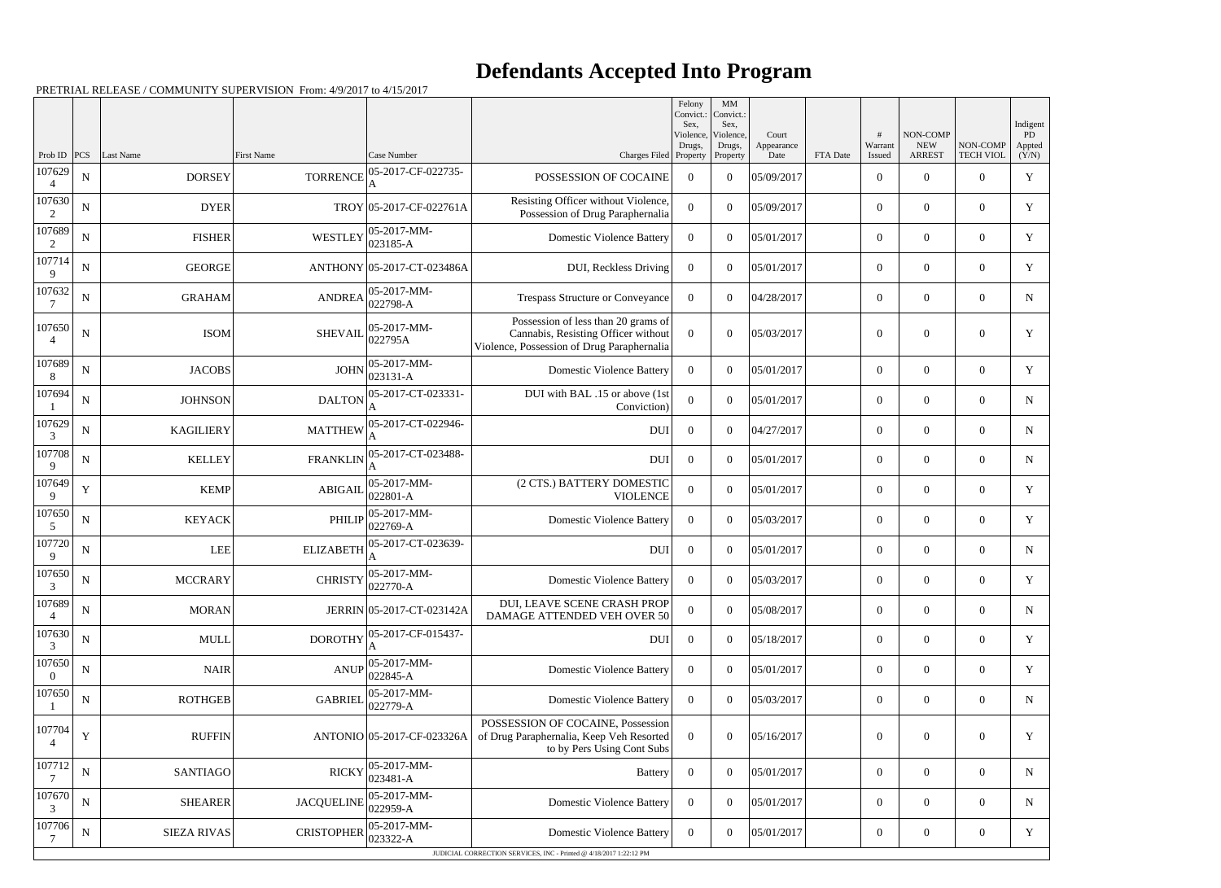## **Defendants Accepted Into Program**

PRETRIAL RELEASE / COMMUNITY SUPERVISION From: 4/9/2017 to 4/15/2017

|                          |             |                    |                   |                              |                                                                                                                          | Felony<br>Convict.:<br>Sex,     | $\mathbf{M}\mathbf{M}$<br>Convict.:<br>Sex, |                             |          |                   |                                         |                              | Indigent              |
|--------------------------|-------------|--------------------|-------------------|------------------------------|--------------------------------------------------------------------------------------------------------------------------|---------------------------------|---------------------------------------------|-----------------------------|----------|-------------------|-----------------------------------------|------------------------------|-----------------------|
| Prob ID                  | <b>PCS</b>  | Last Name          | <b>First Name</b> | Case Number                  | Charges Filed                                                                                                            | Violence,<br>Drugs,<br>Property | Violence,<br>Drugs,<br>Property             | Court<br>Appearance<br>Date | FTA Date | Warrant<br>Issued | NON-COMP<br><b>NEW</b><br><b>ARREST</b> | NON-COMP<br><b>TECH VIOL</b> | PD<br>Appted<br>(Y/N) |
| 107629<br>$\overline{4}$ | ${\bf N}$   | <b>DORSEY</b>      | <b>TORRENCE</b>   | 05-2017-CF-022735-<br>A      | POSSESSION OF COCAINE                                                                                                    | $\overline{0}$                  | $\theta$                                    | 05/09/2017                  |          | $\overline{0}$    | $\overline{0}$                          | $\overline{0}$               | $\mathbf Y$           |
| 107630<br>2              | $\mathbf N$ | <b>DYER</b>        |                   | TROY 05-2017-CF-022761A      | Resisting Officer without Violence,<br>Possession of Drug Paraphernalia                                                  | $\overline{0}$                  | $\theta$                                    | 05/09/2017                  |          | $\overline{0}$    | $\overline{0}$                          | $\overline{0}$               | Y                     |
| 107689<br>2              | ${\bf N}$   | <b>FISHER</b>      | WESTLEY           | 05-2017-MM-<br>$023185 - A$  | <b>Domestic Violence Battery</b>                                                                                         | $\overline{0}$                  | $\theta$                                    | 05/01/2017                  |          | $\overline{0}$    | $\overline{0}$                          | $\overline{0}$               | Y                     |
| 107714<br>9              | $\mathbf N$ | <b>GEORGE</b>      |                   | ANTHONY 05-2017-CT-023486A   | DUI, Reckless Driving                                                                                                    | $\overline{0}$                  | $\theta$                                    | 05/01/2017                  |          | $\overline{0}$    | $\overline{0}$                          | $\overline{0}$               | Y                     |
| 107632                   | ${\bf N}$   | <b>GRAHAM</b>      | <b>ANDREA</b>     | 05-2017-MM-<br>022798-A      | Trespass Structure or Conveyance                                                                                         | $\overline{0}$                  | $\theta$                                    | 04/28/2017                  |          | $\overline{0}$    | $\theta$                                | $\overline{0}$               | $\mathbf N$           |
| 107650                   | $\mathbf N$ | <b>ISOM</b>        | <b>SHEVAII</b>    | 05-2017-MM-<br>022795A       | Possession of less than 20 grams of<br>Cannabis, Resisting Officer without<br>Violence, Possession of Drug Paraphernalia | $\overline{0}$                  | $\Omega$                                    | 05/03/2017                  |          | $\theta$          | $\theta$                                | $\Omega$                     | Y                     |
| 107689<br>8              | ${\bf N}$   | <b>JACOBS</b>      | <b>JOHN</b>       | $05-2017-MM$ -<br>023131-A   | <b>Domestic Violence Battery</b>                                                                                         | $\overline{0}$                  | $\theta$                                    | 05/01/2017                  |          | $\overline{0}$    | $\overline{0}$                          | $\overline{0}$               | $\mathbf Y$           |
| 107694                   | $\mathbf N$ | <b>JOHNSON</b>     | <b>DALTON</b>     | 05-2017-CT-023331-           | DUI with BAL .15 or above (1st<br>Conviction)                                                                            | $\overline{0}$                  | $\theta$                                    | 05/01/2017                  |          | $\overline{0}$    | $\overline{0}$                          | $\overline{0}$               | $\mathbf N$           |
| 107629<br>3              | $\mathbf N$ | <b>KAGILIERY</b>   | <b>MATTHEW</b>    | 05-2017-CT-022946-           | <b>DUI</b>                                                                                                               | $\overline{0}$                  | $\theta$                                    | 04/27/2017                  |          | $\overline{0}$    | $\overline{0}$                          | $\overline{0}$               | $\mathbf N$           |
| 107708<br>9              | $\mathbf N$ | <b>KELLEY</b>      | <b>FRANKLIN</b>   | 05-2017-CT-023488-           | <b>DUI</b>                                                                                                               | $\overline{0}$                  | $\theta$                                    | 05/01/2017                  |          | $\overline{0}$    | $\overline{0}$                          | $\overline{0}$               | N                     |
| 107649<br>9              | $\mathbf Y$ | <b>KEMP</b>        | <b>ABIGAIL</b>    | 05-2017-MM-<br>022801-A      | (2 CTS.) BATTERY DOMESTIC<br><b>VIOLENCE</b>                                                                             | $\theta$                        | $\theta$                                    | 05/01/2017                  |          | $\overline{0}$    | $\overline{0}$                          | $\overline{0}$               | $\mathbf Y$           |
| 107650<br>5              | $\mathbf N$ | <b>KEYACK</b>      | <b>PHILIP</b>     | 05-2017-MM-<br>$022769-A$    | <b>Domestic Violence Battery</b>                                                                                         | $\Omega$                        | $\theta$                                    | 05/03/2017                  |          | $\overline{0}$    | $\overline{0}$                          | $\overline{0}$               | Y                     |
| 107720<br>9              | $\mathbf N$ | <b>LEE</b>         | <b>ELIZABETH</b>  | 05-2017-CT-023639-           | <b>DUI</b>                                                                                                               | $\overline{0}$                  | $\theta$                                    | 05/01/2017                  |          | $\overline{0}$    | $\overline{0}$                          | $\overline{0}$               | $\mathbf N$           |
| 107650<br>3              | N           | <b>MCCRARY</b>     | <b>CHRISTY</b>    | 05-2017-MM-<br>$022770 - A$  | <b>Domestic Violence Battery</b>                                                                                         | $\overline{0}$                  | $\theta$                                    | 05/03/2017                  |          | $\overline{0}$    | $\overline{0}$                          | $\overline{0}$               | Y                     |
| 107689<br>$\overline{4}$ | ${\bf N}$   | <b>MORAN</b>       |                   | JERRIN 05-2017-CT-023142A    | DUI, LEAVE SCENE CRASH PROP<br><b>DAMAGE ATTENDED VEH OVER 50</b>                                                        | $\overline{0}$                  | $\boldsymbol{0}$                            | 05/08/2017                  |          | $\mathbf{0}$      | $\mathbf{0}$                            | $\overline{0}$               | $\mathbf N$           |
| 107630<br>3              | $\mathbf N$ | <b>MULL</b>        | <b>DOROTHY</b>    | 05-2017-CF-015437-           | <b>DUI</b>                                                                                                               | $\mathbf{0}$                    | $\boldsymbol{0}$                            | 05/18/2017                  |          | $\overline{0}$    | $\overline{0}$                          | $\overline{0}$               | Y                     |
| 107650<br>$\overline{0}$ | ${\bf N}$   | <b>NAIR</b>        | <b>ANUP</b>       | 05-2017-MM-<br>022845-A      | <b>Domestic Violence Battery</b>                                                                                         | $\overline{0}$                  | $\boldsymbol{0}$                            | 05/01/2017                  |          | $\mathbf{0}$      | $\overline{0}$                          | $\overline{0}$               | Y                     |
| 107650                   | $\mathbf N$ | <b>ROTHGEB</b>     | <b>GABRIEL</b>    | 05-2017-MM-<br>$022779-A$    | <b>Domestic Violence Battery</b>                                                                                         | $\overline{0}$                  | $\overline{0}$                              | 05/03/2017                  |          | $\overline{0}$    | $\mathbf{0}$                            | $\overline{0}$               | $\mathbf N$           |
| 107704<br>$\overline{4}$ | Y           | <b>RUFFIN</b>      |                   | ANTONIO 05-2017-CF-023326A   | POSSESSION OF COCAINE, Possession<br>of Drug Paraphernalia, Keep Veh Resorted<br>to by Pers Using Cont Subs              | $\Omega$                        | $\boldsymbol{0}$                            | 05/16/2017                  |          | $\mathbf{0}$      | $\overline{0}$                          | $\overline{0}$               | $\mathbf Y$           |
| 107712                   | ${\bf N}$   | <b>SANTIAGO</b>    | <b>RICKY</b>      | 05-2017-MM-<br>$ 023481 - A$ | Battery                                                                                                                  | $\overline{0}$                  | $\boldsymbol{0}$                            | 05/01/2017                  |          | $\overline{0}$    | $\overline{0}$                          | $\overline{0}$               | $\mathbf N$           |
| 107670<br>3              | ${\bf N}$   | <b>SHEARER</b>     | <b>JACQUELINE</b> | 05-2017-MM-<br>022959-A      | <b>Domestic Violence Battery</b>                                                                                         | $\overline{0}$                  | $\boldsymbol{0}$                            | 05/01/2017                  |          | $\mathbf{0}$      | $\overline{0}$                          | $\overline{0}$               | ${\bf N}$             |
| 107706                   | $\mathbf N$ | <b>SIEZA RIVAS</b> | <b>CRISTOPHER</b> | 05-2017-MM-<br>023322-A      | <b>Domestic Violence Battery</b>                                                                                         | $\overline{0}$                  | $\boldsymbol{0}$                            | 05/01/2017                  |          | $\overline{0}$    | $\boldsymbol{0}$                        | $\boldsymbol{0}$             | Y                     |
|                          |             |                    |                   |                              | JUDICIAL CORRECTION SERVICES, INC - Printed @ 4/18/2017 1:22:12 PM                                                       |                                 |                                             |                             |          |                   |                                         |                              |                       |